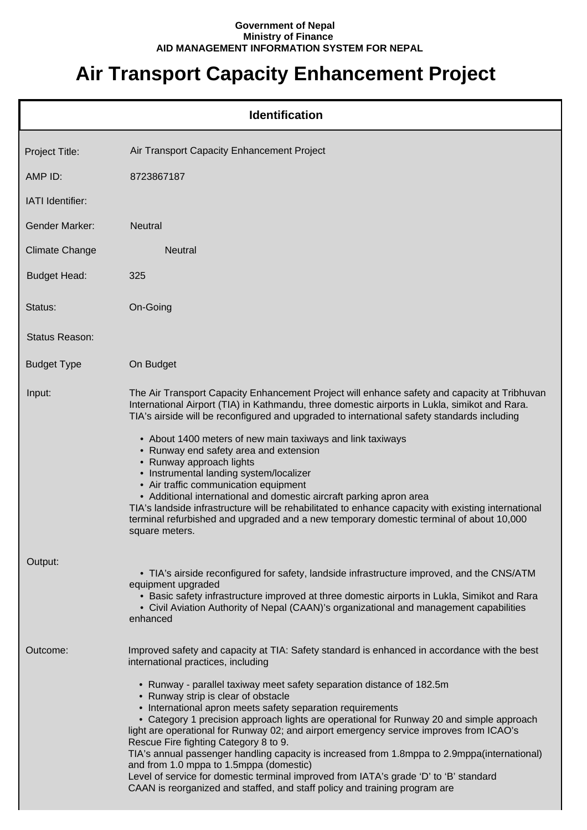## **Government of Nepal Ministry of Finance AID MANAGEMENT INFORMATION SYSTEM FOR NEPAL**

## **Air Transport Capacity Enhancement Project**

| <b>Identification</b> |                                                                                                                                                                                                                                                                                                                                                                                                                                                                                                                                                                                                                                                                                                                              |  |
|-----------------------|------------------------------------------------------------------------------------------------------------------------------------------------------------------------------------------------------------------------------------------------------------------------------------------------------------------------------------------------------------------------------------------------------------------------------------------------------------------------------------------------------------------------------------------------------------------------------------------------------------------------------------------------------------------------------------------------------------------------------|--|
| Project Title:        | Air Transport Capacity Enhancement Project                                                                                                                                                                                                                                                                                                                                                                                                                                                                                                                                                                                                                                                                                   |  |
| AMP ID:               | 8723867187                                                                                                                                                                                                                                                                                                                                                                                                                                                                                                                                                                                                                                                                                                                   |  |
| IATI Identifier:      |                                                                                                                                                                                                                                                                                                                                                                                                                                                                                                                                                                                                                                                                                                                              |  |
| <b>Gender Marker:</b> | <b>Neutral</b>                                                                                                                                                                                                                                                                                                                                                                                                                                                                                                                                                                                                                                                                                                               |  |
| <b>Climate Change</b> | <b>Neutral</b>                                                                                                                                                                                                                                                                                                                                                                                                                                                                                                                                                                                                                                                                                                               |  |
| <b>Budget Head:</b>   | 325                                                                                                                                                                                                                                                                                                                                                                                                                                                                                                                                                                                                                                                                                                                          |  |
| Status:               | On-Going                                                                                                                                                                                                                                                                                                                                                                                                                                                                                                                                                                                                                                                                                                                     |  |
| <b>Status Reason:</b> |                                                                                                                                                                                                                                                                                                                                                                                                                                                                                                                                                                                                                                                                                                                              |  |
| <b>Budget Type</b>    | On Budget                                                                                                                                                                                                                                                                                                                                                                                                                                                                                                                                                                                                                                                                                                                    |  |
| Input:                | The Air Transport Capacity Enhancement Project will enhance safety and capacity at Tribhuvan<br>International Airport (TIA) in Kathmandu, three domestic airports in Lukla, simikot and Rara.<br>TIA's airside will be reconfigured and upgraded to international safety standards including                                                                                                                                                                                                                                                                                                                                                                                                                                 |  |
|                       | • About 1400 meters of new main taxiways and link taxiways<br>• Runway end safety area and extension<br>• Runway approach lights<br>• Instrumental landing system/localizer<br>• Air traffic communication equipment<br>• Additional international and domestic aircraft parking apron area<br>TIA's landside infrastructure will be rehabilitated to enhance capacity with existing international<br>terminal refurbished and upgraded and a new temporary domestic terminal of about 10,000<br>square meters.                                                                                                                                                                                                              |  |
| Output:               | • TIA's airside reconfigured for safety, landside infrastructure improved, and the CNS/ATM<br>equipment upgraded<br>• Basic safety infrastructure improved at three domestic airports in Lukla, Simikot and Rara<br>• Civil Aviation Authority of Nepal (CAAN)'s organizational and management capabilities<br>enhanced                                                                                                                                                                                                                                                                                                                                                                                                      |  |
| Outcome:              | Improved safety and capacity at TIA: Safety standard is enhanced in accordance with the best<br>international practices, including                                                                                                                                                                                                                                                                                                                                                                                                                                                                                                                                                                                           |  |
|                       | • Runway - parallel taxiway meet safety separation distance of 182.5m<br>• Runway strip is clear of obstacle<br>• International apron meets safety separation requirements<br>• Category 1 precision approach lights are operational for Runway 20 and simple approach<br>light are operational for Runway 02; and airport emergency service improves from ICAO's<br>Rescue Fire fighting Category 8 to 9.<br>TIA's annual passenger handling capacity is increased from 1.8mppa to 2.9mppa(international)<br>and from 1.0 mppa to 1.5mppa (domestic)<br>Level of service for domestic terminal improved from IATA's grade 'D' to 'B' standard<br>CAAN is reorganized and staffed, and staff policy and training program are |  |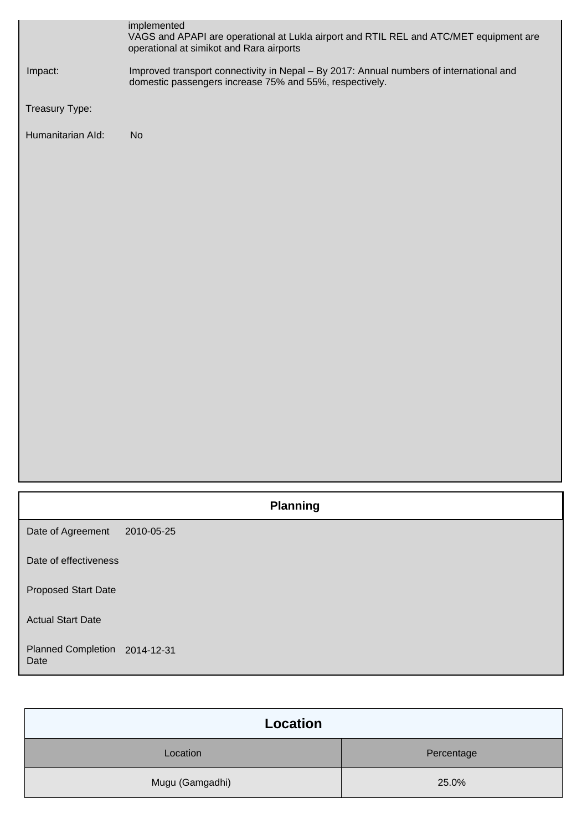|                                       | implemented<br>VAGS and APAPI are operational at Lukla airport and RTIL REL and ATC/MET equipment are<br>operational at simikot and Rara airports  |
|---------------------------------------|----------------------------------------------------------------------------------------------------------------------------------------------------|
| Impact:                               | Improved transport connectivity in Nepal - By 2017: Annual numbers of international and<br>domestic passengers increase 75% and 55%, respectively. |
| Treasury Type:                        |                                                                                                                                                    |
| Humanitarian Ald:                     | <b>No</b>                                                                                                                                          |
|                                       |                                                                                                                                                    |
|                                       |                                                                                                                                                    |
|                                       |                                                                                                                                                    |
|                                       |                                                                                                                                                    |
|                                       |                                                                                                                                                    |
|                                       |                                                                                                                                                    |
|                                       |                                                                                                                                                    |
|                                       |                                                                                                                                                    |
|                                       |                                                                                                                                                    |
|                                       |                                                                                                                                                    |
|                                       |                                                                                                                                                    |
|                                       |                                                                                                                                                    |
|                                       |                                                                                                                                                    |
|                                       | <b>Planning</b>                                                                                                                                    |
| Date of Agreement                     | 2010-05-25                                                                                                                                         |
| Date of effectiveness                 |                                                                                                                                                    |
| <b>Proposed Start Date</b>            |                                                                                                                                                    |
| <b>Actual Start Date</b>              |                                                                                                                                                    |
| Planned Completion 2014-12-31<br>Date |                                                                                                                                                    |

| <b>Location</b> |            |  |  |
|-----------------|------------|--|--|
| Location        | Percentage |  |  |
| Mugu (Gamgadhi) | 25.0%      |  |  |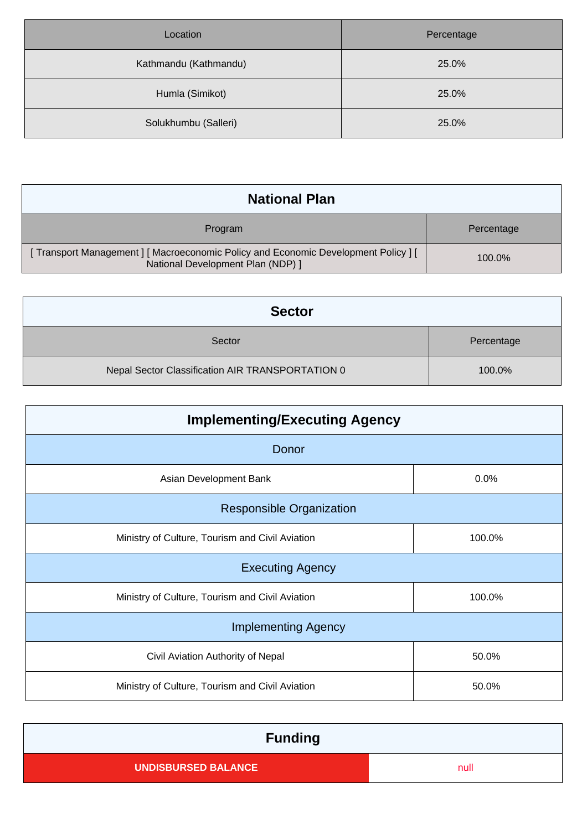| Location              | Percentage |  |
|-----------------------|------------|--|
| Kathmandu (Kathmandu) | 25.0%      |  |
| Humla (Simikot)       | 25.0%      |  |
| Solukhumbu (Salleri)  | 25.0%      |  |

| <b>National Plan</b>                                                                                                   |            |  |  |
|------------------------------------------------------------------------------------------------------------------------|------------|--|--|
| Program                                                                                                                | Percentage |  |  |
| Transport Management ] [ Macroeconomic Policy and Economic Development Policy ] [<br>National Development Plan (NDP) ] | 100.0%     |  |  |

| <b>Sector</b>                                    |            |  |
|--------------------------------------------------|------------|--|
| Sector                                           | Percentage |  |
| Nepal Sector Classification AIR TRANSPORTATION 0 | 100.0%     |  |

| <b>Implementing/Executing Agency</b>                      |      |  |  |  |
|-----------------------------------------------------------|------|--|--|--|
| Donor                                                     |      |  |  |  |
| Asian Development Bank                                    | 0.0% |  |  |  |
| <b>Responsible Organization</b>                           |      |  |  |  |
| 100.0%<br>Ministry of Culture, Tourism and Civil Aviation |      |  |  |  |
| <b>Executing Agency</b>                                   |      |  |  |  |
| Ministry of Culture, Tourism and Civil Aviation<br>100.0% |      |  |  |  |
| <b>Implementing Agency</b>                                |      |  |  |  |
| Civil Aviation Authority of Nepal<br>50.0%                |      |  |  |  |
| Ministry of Culture, Tourism and Civil Aviation<br>50.0%  |      |  |  |  |

| <b>Funding</b>             |      |
|----------------------------|------|
| <b>UNDISBURSED BALANCE</b> | null |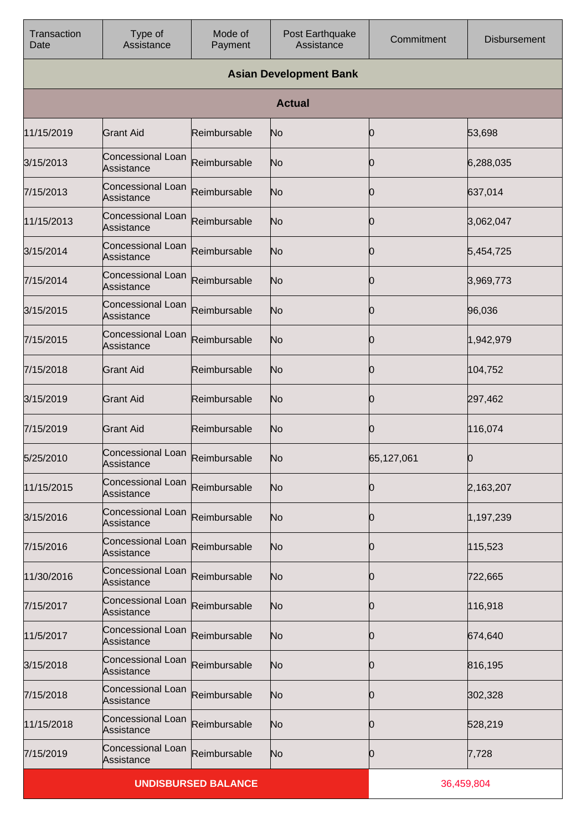| Transaction<br>Date | Type of<br>Assistance           | Mode of<br>Payment         | Post Earthquake<br>Assistance | Commitment | <b>Disbursement</b> |  |
|---------------------|---------------------------------|----------------------------|-------------------------------|------------|---------------------|--|
|                     | <b>Asian Development Bank</b>   |                            |                               |            |                     |  |
|                     |                                 |                            | <b>Actual</b>                 |            |                     |  |
| 11/15/2019          | <b>Grant Aid</b>                | Reimbursable               | No                            | Ю          | 53,698              |  |
| 3/15/2013           | Concessional Loan<br>Assistance | Reimbursable               | N <sub>o</sub>                | 0          | 6,288,035           |  |
| 7/15/2013           | Concessional Loan<br>Assistance | Reimbursable               | No                            | O          | 637,014             |  |
| 11/15/2013          | Concessional Loan<br>Assistance | Reimbursable               | No                            | Ю          | 3,062,047           |  |
| 3/15/2014           | Concessional Loan<br>Assistance | Reimbursable               | No                            |            | 5,454,725           |  |
| 7/15/2014           | Concessional Loan<br>Assistance | Reimbursable               | No                            | Ю          | 3,969,773           |  |
| 3/15/2015           | Concessional Loan<br>Assistance | Reimbursable               | No                            |            | 96,036              |  |
| 7/15/2015           | Concessional Loan<br>Assistance | Reimbursable               | No                            | Ю          | 1,942,979           |  |
| 7/15/2018           | <b>Grant Aid</b>                | Reimbursable               | No                            |            | 104,752             |  |
| 3/15/2019           | <b>Grant Aid</b>                | Reimbursable               | No                            | Ю          | 297,462             |  |
| 7/15/2019           | <b>Grant Aid</b>                | Reimbursable               | No                            | О          | 116,074             |  |
| 5/25/2010           | Concessional Loan<br>Assistance | Reimbursable               | No                            | 65,127,061 | Ю                   |  |
| 11/15/2015          | Concessional Loan<br>Assistance | Reimbursable               | No                            | O          | 2,163,207           |  |
| 3/15/2016           | Concessional Loan<br>Assistance | Reimbursable               | No                            | N          | 1,197,239           |  |
| 7/15/2016           | Concessional Loan<br>Assistance | Reimbursable               | No                            | O          | 115,523             |  |
| 11/30/2016          | Concessional Loan<br>Assistance | Reimbursable               | No                            | O          | 722,665             |  |
| 7/15/2017           | Concessional Loan<br>Assistance | Reimbursable               | No                            | 0          | 116,918             |  |
| 11/5/2017           | Concessional Loan<br>Assistance | Reimbursable               | No                            | O          | 674,640             |  |
| 3/15/2018           | Concessional Loan<br>Assistance | Reimbursable               | No                            | Ю          | 816,195             |  |
| 7/15/2018           | Concessional Loan<br>Assistance | Reimbursable               | No                            | O          | 302,328             |  |
| 11/15/2018          | Concessional Loan<br>Assistance | Reimbursable               | No                            | Ю          | 528,219             |  |
| 7/15/2019           | Concessional Loan<br>Assistance | Reimbursable               | No                            | O          | 7,728               |  |
|                     |                                 | <b>UNDISBURSED BALANCE</b> |                               | 36,459,804 |                     |  |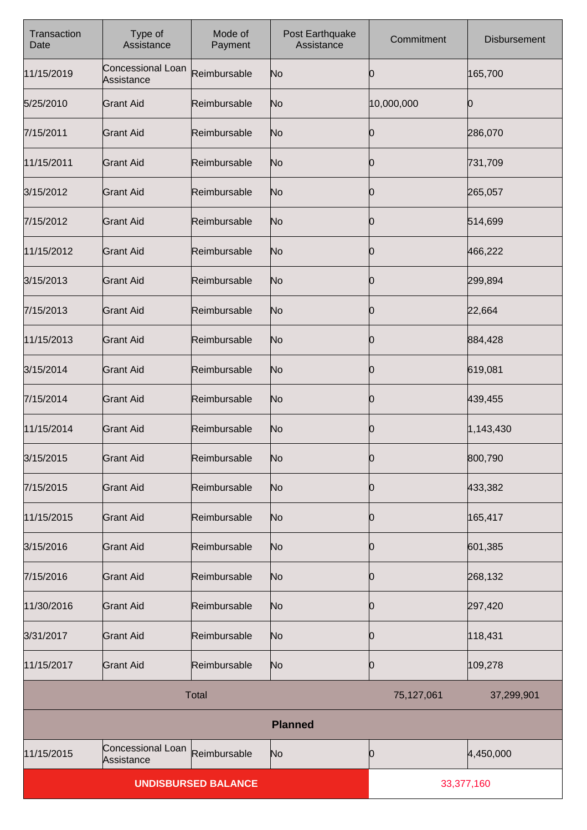| Transaction<br>Date | Type of<br>Assistance           | Mode of<br>Payment         | Post Earthquake<br>Assistance | Commitment | <b>Disbursement</b> |
|---------------------|---------------------------------|----------------------------|-------------------------------|------------|---------------------|
| 11/15/2019          | Concessional Loan<br>Assistance | Reimbursable               | No                            | Ŋ          | 165,700             |
| 5/25/2010           | <b>Grant Aid</b>                | Reimbursable               | No                            | 10,000,000 | 0                   |
| 7/15/2011           | <b>Grant Aid</b>                | Reimbursable               | No                            | 0          | 286,070             |
| 11/15/2011          | <b>Grant Aid</b>                | Reimbursable               | No                            | Ю          | 731,709             |
| 3/15/2012           | <b>Grant Aid</b>                | Reimbursable               | No                            | Ŋ          | 265,057             |
| 7/15/2012           | <b>Grant Aid</b>                | Reimbursable               | No                            | Ю          | 514,699             |
| 11/15/2012          | <b>Grant Aid</b>                | Reimbursable               | No                            | Ŋ          | 466,222             |
| 3/15/2013           | <b>Grant Aid</b>                | Reimbursable               | No                            | Ю          | 299,894             |
| 7/15/2013           | <b>Grant Aid</b>                | Reimbursable               | No                            | 0          | 22,664              |
| 11/15/2013          | <b>Grant Aid</b>                | Reimbursable               | No                            | Ю          | 884,428             |
| 3/15/2014           | <b>Grant Aid</b>                | Reimbursable               | No                            | O          | 619,081             |
| 7/15/2014           | <b>Grant Aid</b>                | Reimbursable               | N <sub>o</sub>                | Ю          | 439,455             |
| 11/15/2014          | <b>Grant Aid</b>                | Reimbursable               | No                            | 0          | 1,143,430           |
| 3/15/2015           | <b>Grant Aid</b>                | Reimbursable               | No                            | 0          | 800,790             |
| 7/15/2015           | <b>Grant Aid</b>                | Reimbursable               | N <sub>o</sub>                | Ю          | 433,382             |
| 11/15/2015          | <b>Grant Aid</b>                | Reimbursable               | N <sub>o</sub>                | 0          | 165,417             |
| 3/15/2016           | <b>Grant Aid</b>                | Reimbursable               | N <sub>o</sub>                | Ю          | 601,385             |
| 7/15/2016           | <b>Grant Aid</b>                | Reimbursable               | N <sub>o</sub>                | 0          | 268,132             |
| 11/30/2016          | <b>Grant Aid</b>                | Reimbursable               | N <sub>o</sub>                | Ю          | 297,420             |
| 3/31/2017           | <b>Grant Aid</b>                | Reimbursable               | N <sub>o</sub>                | O          | 118,431             |
| 11/15/2017          | <b>Grant Aid</b>                | Reimbursable               | N <sub>o</sub>                | Ю          | 109,278             |
| <b>Total</b>        |                                 |                            | 75,127,061                    | 37,299,901 |                     |
|                     |                                 |                            | <b>Planned</b>                |            |                     |
| 11/15/2015          | Concessional Loan<br>Assistance | Reimbursable               | N <sub>o</sub>                | Ю          | 4,450,000           |
|                     |                                 | <b>UNDISBURSED BALANCE</b> |                               | 33,377,160 |                     |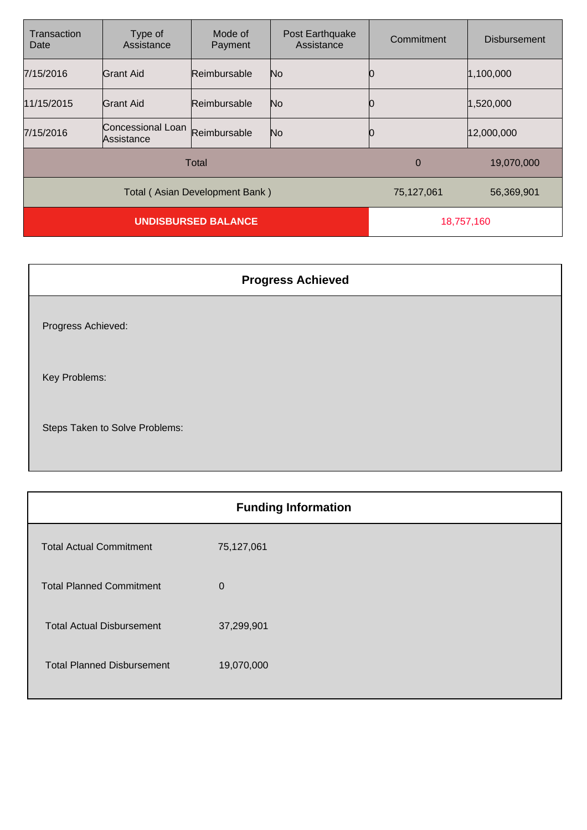| Transaction<br>Date            | Type of<br>Assistance           | Mode of<br>Payment | Post Earthquake<br>Assistance | Commitment | <b>Disbursement</b> |
|--------------------------------|---------------------------------|--------------------|-------------------------------|------------|---------------------|
| 7/15/2016                      | <b>Grant Aid</b>                | Reimbursable       | No                            |            | 1,100,000           |
| 11/15/2015                     | Grant Aid                       | Reimbursable       | No                            |            | 1,520,000           |
| 7/15/2016                      | Concessional Loan<br>Assistance | Reimbursable       | No                            |            | 12,000,000          |
| Total                          |                                 |                    | $\Omega$                      | 19,070,000 |                     |
| Total (Asian Development Bank) |                                 |                    | 75,127,061                    | 56,369,901 |                     |
| <b>UNDISBURSED BALANCE</b>     |                                 |                    | 18,757,160                    |            |                     |

## **Progress Achieved** Progress Achieved: Key Problems: Steps Taken to Solve Problems:

| <b>Funding Information</b> |  |  |  |
|----------------------------|--|--|--|
| 75,127,061                 |  |  |  |
| $\mathbf 0$                |  |  |  |
| 37,299,901                 |  |  |  |
| 19,070,000                 |  |  |  |
|                            |  |  |  |